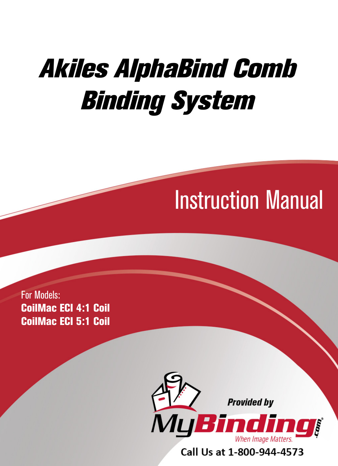# Akiles AlphaBind Comb Binding System

# Instruction Manual

For Models: CoilMac ECI 4:1 Coil CoilMac ECI 5:1 Coil



Call Us at 1-800-944-4573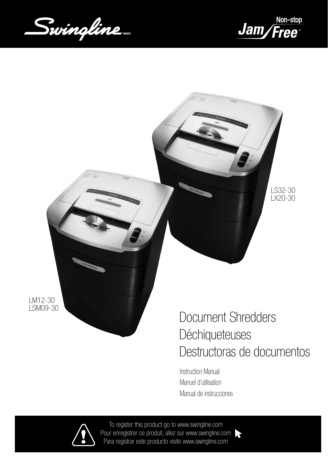Swingline





LM12-30 LSM09-30

Document Shredders **Déchiqueteuses** Destructoras de documentos

Instruction Manual Manuel d'utilisation Manual de instrucciones



To register this product go to www.swingline.com Pour enregistrer ce produit, allez sur www.swingline.com Para registrar este producto visite www.swingline.com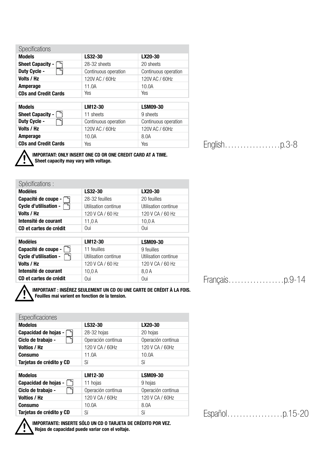| <b>Specifications</b>       |                      |                      |
|-----------------------------|----------------------|----------------------|
| <b>Models</b>               | LS32-30              | LX20-30              |
| <b>Sheet Capacity -</b>     | 28-32 sheets         | 20 sheets            |
| Duty Cycle -                | Continuous operation | Continuous operation |
| Volts / Hz                  | 120V AC / 60Hz       | 120V AC / 60Hz       |
| Amperage                    | 11.0A                | 10.0A                |
| <b>CDs and Credit Cards</b> | Yes                  | Yes                  |
|                             |                      |                      |
| <b>Models</b>               | LM12-30              | <b>LSM09-30</b>      |
| <b>Sheet Capacity -</b>     | 11 sheets            | 9 sheets             |
| Duty Cycle -                | Continuous operation | Continuous operation |
| Volts / Hz                  | 120V AC / 60Hz       | 120V AC / 60Hz       |
| Amperage                    | 10.0A                | 8.0A                 |
| <b>CDs and Credit Cards</b> |                      |                      |

English………………p.3-8



IMPORTANT: ONLY INSERT ONE CD OR ONE CREDIT CARD AT A TIME. Sheet capacity may vary with voltage.

| Spécifications :       |                      |                      |  |  |  |  |  |
|------------------------|----------------------|----------------------|--|--|--|--|--|
| <b>Modèles</b>         | LS32-30              | LX20-30              |  |  |  |  |  |
| Capacité de coupe -    | 28-32 feuilles       | 20 feuilles          |  |  |  |  |  |
| Cycle d'utilisation -  | Utilisation continue | Utilisation continue |  |  |  |  |  |
| Volts / Hz             | 120 V CA / 60 Hz     | 120 V CA / 60 Hz     |  |  |  |  |  |
| Intensité de courant   | 11,0 A               | 10.0A                |  |  |  |  |  |
| CD et cartes de crédit | Oui                  | Oui                  |  |  |  |  |  |
|                        |                      |                      |  |  |  |  |  |
|                        |                      |                      |  |  |  |  |  |
| <b>Modèles</b>         | LM12-30              | <b>LSM09-30</b>      |  |  |  |  |  |
| Capacité de coupe -    | 11 feuilles          | 9 feuilles           |  |  |  |  |  |
| Cycle d'utilisation -  | Utilisation continue | Utilisation continue |  |  |  |  |  |
| Volts / Hz             | 120 V CA / 60 Hz     | 120 V CA / 60 Hz     |  |  |  |  |  |
| Intensité de courant   | 10,0A                | 8,0A                 |  |  |  |  |  |
| CD et cartes de crédit | Oui                  | Oui                  |  |  |  |  |  |



IMPORTANT : INSÉREZ SEULEMENT UN CD OU UNE CARTE DE CRÉDIT À LA FOIS. Feuilles mai varient en fonction de la tension.

| Especificaciones         |                    |                    |  |  |  |  |  |
|--------------------------|--------------------|--------------------|--|--|--|--|--|
| <b>Modelos</b>           | LS32-30            | LX20-30            |  |  |  |  |  |
| Capacidad de hojas -     | 28-32 hojas        | 20 hojas           |  |  |  |  |  |
| Ciclo de trabajo -       | Operación continua | Operación continua |  |  |  |  |  |
| <b>Voltios / Hz</b>      | 120 V CA / 60Hz    | 120 V CA / 60Hz    |  |  |  |  |  |
| <b>Consumo</b>           | 11.0A              | 10.0A              |  |  |  |  |  |
| Tarjetas de crédito y CD | Sí                 | Sí                 |  |  |  |  |  |
|                          |                    |                    |  |  |  |  |  |
| <b>Modelos</b>           | LM12-30            | <b>LSM09-30</b>    |  |  |  |  |  |
| Capacidad de hojas -     | 11 hojas           | 9 hojas            |  |  |  |  |  |
| Ciclo de trabajo -       | Operación continua | Operación continua |  |  |  |  |  |
| <b>Voltios / Hz</b>      | 120 V CA / 60Hz    | 120 V CA / 60Hz    |  |  |  |  |  |
| <b>Consumo</b>           | 10.0A              | 8.0A               |  |  |  |  |  |
| Tarjetas de crédito y CD | Sí                 | Sí                 |  |  |  |  |  |



IMPORTANTE: INSERTE SÓLO UN CD O TARJETA DE CRÉDITO POR VEZ. Hojas de capacidad puede variar con el voltaje.

Français………………p.9-14

Español………………p.15-20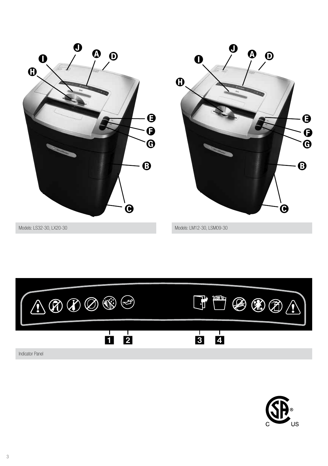



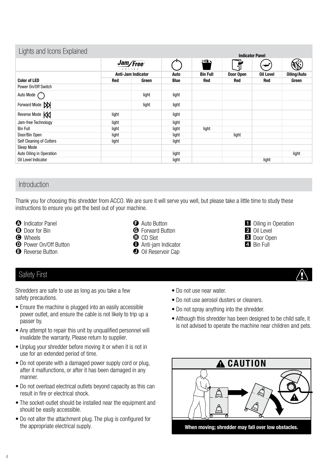| Lights and Icons Explained |                           |       |       |                 | <b>Indicator Panel</b>        |           |                    |
|----------------------------|---------------------------|-------|-------|-----------------|-------------------------------|-----------|--------------------|
|                            | Jam/Free<br>$s e r + e s$ |       |       | <u>and a</u>    | ֡֡֟֟֟֟֟֟֟֟֟֟֟֟֟֟֟׀֬<br>׀֪֬֘֘֠ |           |                    |
|                            | <b>Anti-Jam Indicator</b> |       | Auto  | <b>Bin Full</b> | Door Open                     | Oil Level | <b>Oiling/Auto</b> |
| <b>Color of LED</b>        | <b>Red</b>                | Green | Blue  | Red             | Red                           | Red       | Green              |
| Power On/Off Switch        |                           |       |       |                 |                               |           |                    |
| Auto Mode $\binom{n}{k}$   |                           | light | light |                 |                               |           |                    |
| Forward Mode XX            |                           | light | light |                 |                               |           |                    |
| Reverse Mode K             | light                     |       | light |                 |                               |           |                    |
| Jam-free Technology        | light                     |       | light |                 |                               |           |                    |
| <b>Bin Full</b>            | light                     |       | light | light           |                               |           |                    |
| Door/Bin Open              | light                     |       | light |                 | light                         |           |                    |
| Self Cleaning of Cutters   | light                     |       | light |                 |                               |           |                    |
| Sleep Mode                 |                           |       |       |                 |                               |           |                    |
| Auto Oiling in Operation   |                           |       | light |                 |                               |           | light              |
| Oil Level Indicator        |                           |       | light |                 |                               | light     |                    |

## Introduction

Thank you for choosing this shredder from ACCO. We are sure it will serve you well, but please take a little time to study these instructions to ensure you get the best out of your machine.

- **A** Indicator Panel
- **B** Door for Bin
- **O** Wheels
- **D** Power On/Off Button
- **B** Reverse Button
- **O** Auto Button
- **G** Forward Button
- **O** CD Slot
- **O** Anti-jam Indicator
- **O** Oil Reservoir Cap
- 1 Oiling in Operation 2 Oil Level
- **3** Door Open
- 4 Bin Full

#### Safety First

Shredders are safe to use as long as you take a few safety precautions.

- Ensure the machine is plugged into an easily accessible power outlet, and ensure the cable is not likely to trip up a passer by.
- Any attempt to repair this unit by unqualified personnel will invalidate the warranty. Please return to supplier.
- Unplug your shredder before moving it or when it is not in use for an extended period of time.
- Do not operate with a damaged power supply cord or plug, after it malfunctions, or after it has been damaged in any manner.
- Do not overload electrical outlets beyond capacity as this can result in fire or electrical shock.
- The socket-outlet should be installed near the equipment and should be easily accessible.
- Do not alter the attachment plug. The plug is configured for the appropriate electrical supply.
- Do not use near water.
- Do not use aerosol dusters or cleaners.
- Do not spray anything into the shredder.
- Although this shredder has been designed to be child safe, it is not advised to operate the machine near children and pets.

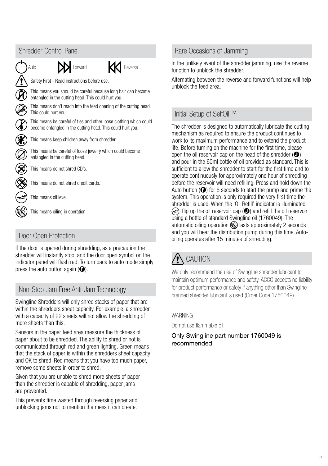

# Door Open Protection

If the door is opened during shredding, as a precaution the shredder will instantly stop, and the door open symbol on the indicator panel will flash red. To turn back to auto mode simply press the auto button again  $(\bigodot)$ .

# Non-Stop Jam Free Anti-Jam Technology

Swingline Shredders will only shred stacks of paper that are within the shredders sheet capacity. For example, a shredder with a capacity of 22 sheets will not allow the shredding of more sheets than this.

Sensors in the paper feed area measure the thickness of paper about to be shredded. The ability to shred or not is communicated through red and green lighting. Green means that the stack of paper is within the shredders sheet capacity and OK to shred. Red means that you have too much paper, remove some sheets in order to shred.

Given that you are unable to shred more sheets of paper than the shredder is capable of shredding, paper jams are prevented.

This prevents time wasted through reversing paper and unblocking jams not to mention the mess it can create.

## Rare Occasions of Jamming

In the unlikely event of the shredder jamming, use the reverse function to unblock the shredder.

Alternating between the reverse and forward functions will help unblock the feed area.

# Initial Setup of SelfOil™

The shredder is designed to automatically lubricate the cutting mechanism as required to ensure the product continues to work to its maximum performance and to extend the product life. Before turning on the machine for the first time, please open the oil reservoir cap on the head of the shredder  $(\bigodot)$ and pour in the 60ml bottle of oil provided as standard. This is sufficient to allow the shredder to start for the first time and to operate continuously for approximately one hour of shredding before the reservoir will need refilling. Press and hold down the Auto button  $\Theta$  for 5 seconds to start the pump and prime the system. This operation is only required the very first time the shredder is used. When the 'Oil Refill' indicator is illuminated  $\infty$ , flip up the oil reservoir cap ( $\bullet$ ) and refill the oil reservoir using a bottle of standard Swingline oil (1760049). The automatic oiling operation  $\mathbb{R}$  lasts approximately 2 seconds and you will hear the distribution pump during this time. Autooiling operates after 15 minutes of shredding.

# CAUTION

We only recommend the use of Swingline shredder lubricant to maintain optimum performance and safety. ACCO accepts no liability for product performance or safety if anything other than Swingline branded shredder lubricant is used (Order Code 1760049).

#### WARNING

Do not use flammable oil.

Only Swingline part number 1760049 is recommended.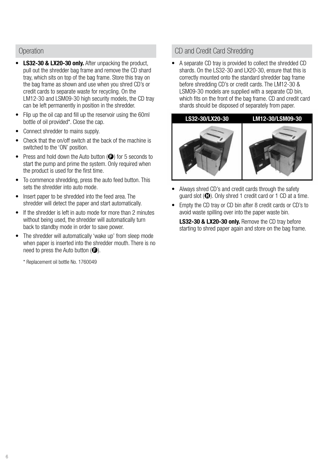#### **Operation**

- LS32-30 & LX20-30 only. After unpacking the product, pull out the shredder bag frame and remove the CD shard tray, which sits on top of the bag frame. Store this tray on the bag frame as shown and use when you shred CD's or credit cards to separate waste for recycling. On the LM12-30 and LSM09-30 high security models, the CD tray can be left permanently in position in the shredder.
- Flip up the oil cap and fill up the reservoir using the 60ml bottle of oil provided\*. Close the cap.
- Connect shredder to mains supply.
- Check that the on/off switch at the back of the machine is switched to the 'ON' position.
- Press and hold down the Auto button  $\Theta$  for 5 seconds to start the pump and prime the system. Only required when the product is used for the first time.
- To commence shredding, press the auto feed button. This sets the shredder into auto mode.
- Insert paper to be shredded into the feed area. The shredder will detect the paper and start automatically.
- If the shredder is left in auto mode for more than 2 minutes without being used, the shredder will automatically turn back to standby mode in order to save power.
- The shredder will automatically 'wake up' from sleep mode when paper is inserted into the shredder mouth. There is no need to press the Auto button  $(\bigodot)$ .

\* Replacement oil bottle No. 1760049

#### CD and Credit Card Shredding

• A separate CD tray is provided to collect the shredded CD shards. On the LS32-30 and LX20-30, ensure that this is correctly mounted onto the standard shredder bag frame before shredding CD's or credit cards. The LM12-30 & LSM09-30 models are supplied with a separate CD bin, which fits on the front of the bag frame. CD and credit card shards should be disposed of separately from paper.

## LS32-30/LX20-30 LM12-30/LSM09-30



- Always shred CD's and credit cards through the safety guard slot  $(\bigcirc$ . Only shred 1 credit card or 1 CD at a time.
- Empty the CD tray or CD bin after 8 credit cards or CD's to avoid waste spilling over into the paper waste bin.

LS32-30 & LX20-30 only. Remove the CD tray before starting to shred paper again and store on the bag frame.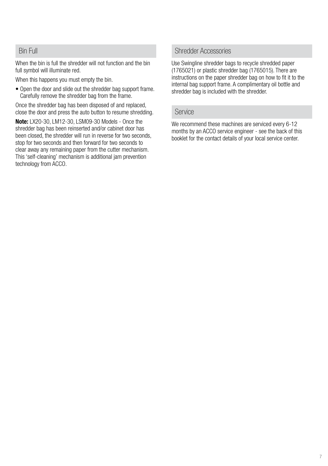#### Bin Full

When the bin is full the shredder will not function and the bin full symbol will illuminate red.

When this happens you must empty the bin.

• Open the door and slide out the shredder bag support frame. Carefully remove the shredder bag from the frame.

Once the shredder bag has been disposed of and replaced, close the door and press the auto button to resume shredding.

Note: LX20-30, LM12-30, LSM09-30 Models - Once the shredder bag has been reinserted and/or cabinet door has been closed, the shredder will run in reverse for two seconds, stop for two seconds and then forward for two seconds to clear away any remaining paper from the cutter mechanism. This 'self-cleaning' mechanism is additional jam prevention technology from ACCO.

#### Shredder Accessories

Use Swingline shredder bags to recycle shredded paper (1765021) or plastic shredder bag (1765015). There are instructions on the paper shredder bag on how to fit it to the internal bag support frame. A complimentary oil bottle and shredder bag is included with the shredder.

#### Service

We recommend these machines are serviced every 6-12 months by an ACCO service engineer - see the back of this booklet for the contact details of your local service center.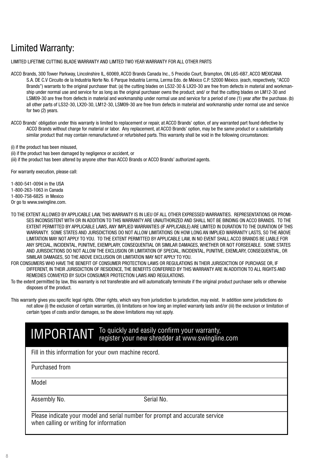# Limited Warranty:

LIMITED LIFETIME CUTTING BLADE WARRANTY AND LIMTED TWO YEAR WARRANTY FOR ALL OTHER PARTS

ACCO Brands, 300 Tower Parkway, Lincolnshire IL, 60069, ACCO Brands Canada Inc., 5 Precidio Court, Brampton, ON L6S-6B7, ACCO MEXICANA S.A. DE C.V Circuito de la Industria Norte No. 6 Parque Industria Lerma, Lerma Edo. de México C.P. 52000 México. (each, respectively, "ACCO Brands") warrants to the original purchaser that: (a) the cutting blades on LS32-30 & LX20-30 are free from defects in material and workmanship under normal use and service for as long as the original purchaser owns the product; and/ or that the cutting blades on LM12-30 and LSM09-30 are free from defects in material and workmanship under normal use and service for a period of one (1) year after the purchase. (b) all other parts of LS32-30, LX20-30, LM12-30, LSM09-30 are free from defects in material and workmanship under normal use and service for two (2) years.

ACCO Brands' obligation under this warranty is limited to replacement or repair, at ACCO Brands' option, of any warranted part found defective by ACCO Brands without charge for material or labor. Any replacement, at ACCO Brands' option, may be the same product or a substantially similar product that may contain remanufactured or refurbished parts. This warranty shall be void in the following circumstances:

(i) if the product has been misused,

(ii) if the product has been damaged by negligence or accident, or

(iii) if the product has been altered by anyone other than ACCO Brands or ACCO Brands' authorized agents.

For warranty execution, please call:

1-800-541-0094 in the USA 1-800-263-1063 in Canada 1-800-758-6825 in Mexico

Or go to www.swingline.com.

- TO THE EXTENT ALLOWED BY APPLICABLE LAW, THIS WARRANTY IS IN LIEU OF ALL OTHER EXPRESSED WARRANTIES. REPRESENTATIONS OR PROMI-SES INCONSISTENT WITH OR IN ADDITION TO THIS WARRANTY ARE UNAUTHORIZED AND SHALL NOT BE BINDING ON ACCO BRANDS. TO THE EXTENT PERMITTED BY APPLICABLE LAWS, ANY IMPLIED WARRANTIES (IF APPLICABLE) ARE LIMITED IN DURATION TO THE DURATION OF THIS WARRANTY. SOME STATES AND JURISDICTIONS DO NOT ALLOW LIMITATIONS ON HOW LONG AN IMPLIED WARRANTY LASTS, SO THE ABOVE LIMITATION MAY NOT APPLY TO YOU. TO THE EXTENT PERMITTED BY APPLICABLE LAW, IN NO EVENT SHALL ACCO BRANDS BE LIABLE FOR ANY SPECIAL, INCIDENTAL, PUNITIVE, EXEMPLARY, CONSEQUENTIAL OR SIMILAR DAMAGES, WHETHER OR NOT FORSEEABLE. SOME STATES AND JURISDICTIONS DO NOT ALLOW THE EXCLUSION OR LIMITATION OF SPECIAL, INCIDENTAL, PUNITIVE, EXEMLARY, CONSEQUENTIAL, OR SIMILAR DAMAGES, SO THE ABOVE EXCLUSION OR LIMITATION MAY NOT APPLY TO YOU.
- FOR CONSUMERS WHO HAVE THE BENEFIT OF CONSUMER PROTECTION LAWS OR REGULATIONS IN THEIR JURISDICTION OF PURCHASE OR, IF DIFFERENT, IN THEIR JURISDICTION OF RESIDENCE, THE BENEFITS CONFERRED BY THIS WARRANTY ARE IN ADDITION TO ALL RIGHTS AND REMEDIES CONVEYED BY SUCH CONSUMER PROTECTION LAWS AND REGULATIONS.
- To the extent permitted by law, this warranty is not transferable and will automatically terminate if the original product purchaser sells or otherwise disposes of the product.
- This warranty gives you specific legal rights. Other rights, which vary from jurisdiction to jurisdiction, may exist. In addition some jurisdictions do not allow (i) the exclusion of certain warranties, (ii) limitations on how long an implied warranty lasts and/or (iii) the exclusion or limitation of certain types of costs and/or damages, so the above limitations may not apply.

# IMPORTANT To quickly and easily confirm your warranty, register your new shredder at www.swingline.com

Fill in this information for your own machine record.

Purchased from

Model

Assembly No. 6. The Serial No. Serial No.

Please indicate your model and serial number for prompt and accurate service when calling or writing for information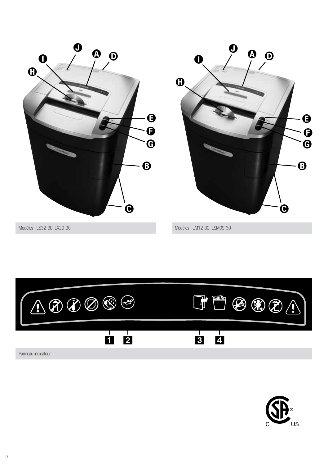



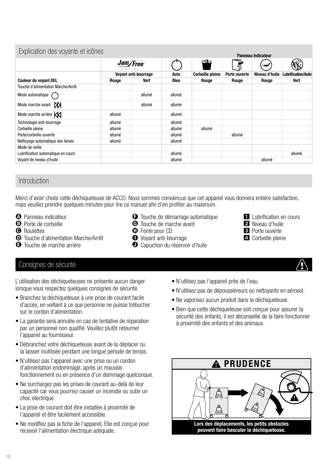| Explication des voyants et icônes  |          |                      |             |                         |               |                    |                           |
|------------------------------------|----------|----------------------|-------------|-------------------------|---------------|--------------------|---------------------------|
|                                    |          |                      |             |                         |               | Panneau indicateur |                           |
|                                    | Jam/Free |                      |             | े<br>ज                  | ๚็            |                    |                           |
|                                    |          | Voyant anti-bourrage | Auto        | <b>Corbeille pleine</b> | Porte ouverte | Niveau d'huile     | <b>Lubrification/Auto</b> |
| <b>Couleur du voyant DEL</b>       | Rouge    | Vert                 | <b>Bleu</b> | Rouge                   | Rouge         | Rouge              | Vert                      |
| Touche d'alimentation Marche/Arrêt |          |                      |             |                         |               |                    |                           |
| Mode automatique                   |          | allumé               | allumé      |                         |               |                    |                           |
| MК<br>Mode marche avant            |          | allumé               | allumé      |                         |               |                    |                           |
| Mode marche arrière KK             | allumé   |                      | allumé      |                         |               |                    |                           |
| Technologie anti-bourrage          | allumé   |                      | allumé      |                         |               |                    |                           |
| Corbeille pleine                   | allumé   |                      | allumé      | allumé                  |               |                    |                           |
| Porte/corbeille ouverte            | allumé   |                      | allumé      |                         | allumé        |                    |                           |
| Nettoyage automatique des lames    | allumé   |                      | allumé      |                         |               |                    |                           |
| Mode de veille                     |          |                      |             |                         |               |                    |                           |

#### Introduction

Merci d'avoir choisi cette déchiqueteuse de ACCO. Nous sommes convaincus que cet appareil vous donnera entière satisfaction, mais veuillez prendre quelques minutes pour lire ce manuel afin d'en profiter au maximum.

Lubrification automatique en cours allumé allumé allumé allumé allumé allumé allumé allumé allumé allumé allumé

Voyant de niveau d'huile allumé allumé allumé allumé allumé allumé allumé allumé allumé allumé allumé allumé allumé

- **<sup>O</sup>** Panneau indicateur
- **B** Porte de corbeille
- **O** Roulettes
- D Touche d'alimentation Marche/Arrêt
- E Touche de marche arrière
- $\Theta$  Touche de démarrage automatique
- **G** Touche de marche avant
- $\Phi$  Fente pour CD
- **O** Voyant anti-bourrage
- $\bullet$  Capuchon du réservoir d'huile

Consignes de sécurité

L'utilisation des déchiqueteuses ne présente aucun danger lorsque vous respectez quelques consignes de sécurité.

- Branchez la déchiqueteuse à une prise de courant facile d'accès, en veillant à ce que personne ne puisse trébucher sur le cordon d'alimentation.
- La garantie sera annulée en cas de tentative de réparation par un personnel non qualifié. Veuillez plutôt retourner l'appareil au fournisseur.
- Débranchez votre déchiqueteuse avant de la déplacer ou la laisser inutilisée pendant une longue période de temps.
- N'utilisez pas l'appareil avec une prise ou un cordon d'alimentation endommagé, après un mauvais fonctionnement ou en présence d'un dommage quelconque.
- Ne surchargez pas les prises de courant au-delà de leur capacité car vous pourriez causer un incendie ou subir un choc électrique.
- La prise de courant doit être installée à proximité de l'appareil et être facilement accessible.
- Ne modifiez pas la fiche de l'appareil. Elle est conçue pour recevoir l'alimentation électrique adéquate.
- N'utilisez pas l'appareil près de l'eau.
- N'utilisez pas de dépoussiéreurs ou nettoyants en aérosol.

**1** Lubrification en cours 2 Niveau d'huile 3 Porte ouverte 4 Corbeille pleine

- Ne vaporisez aucun produit dans la déchiqueteuse.
- Bien que cette déchiqueteuse soit conçue pour assurer la sécurité des enfants, il est déconseillé de la faire fonctionner à proximité des enfants et des animaux.

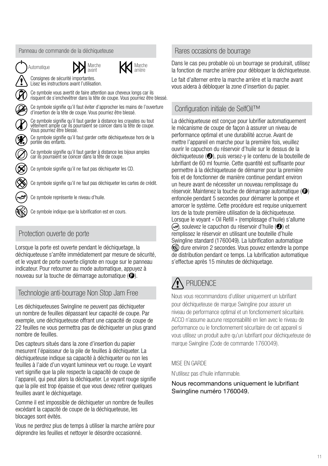

# Protection ouverte de porte

Lorsque la porte est ouverte pendant le déchiquetage, la déchiqueteuse s'arrête immédiatement par mesure de sécurité, et le voyant de porte ouverte clignote en rouge sur le panneau indicateur. Pour retourner au mode automatique, appuyez à nouveau sur la touche de démarrage automatique  $\left( \bigodot \right)$ .

# Technologie anti-bourrage Non Stop Jam Free Nous vous recommandons d'utiliser uniquement un lubrifiant

Les déchiqueteuses Swingline ne peuvent pas déchiqueter un nombre de feuilles dépassant leur capacité de coupe. Par exemple, une déchiqueteuse offrant une capacité de coupe de 22 feuilles ne vous permettra pas de déchiqueter un plus grand nombre de feuilles.

Des capteurs situés dans la zone d'insertion du papier mesurent l'épaisseur de la pile de feuilles à déchiqueter. La déchiqueteuse indique sa capacité à déchiqueter ou non les feuilles à l'aide d'un voyant lumineux vert ou rouge. Le voyant vert signifie que la pile respecte la capacité de coupe de l'appareil, qui peut alors la déchiqueter. Le voyant rouge signifie que la pile est trop épaisse et que vous devez retirer quelques feuilles avant le déchiquetage.

Comme il est impossible de déchiqueter un nombre de feuilles excédant la capacité de coupe de la déchiqueteuse, les blocages sont évités.

Vous ne perdrez plus de temps à utiliser la marche arrière pour déprendre les feuilles et nettoyer le désordre occasionné.

## Rares occasions de bourrage

Dans le cas peu probable où un bourrage se produirait, utilisez la fonction de marche arrière pour débloquer la déchiqueteuse.

Le fait d'alterner entre la marche arrière et la marche avant vous aidera à débloquer la zone d'insertion du papier.

# Configuration initiale de SelfOil™

La déchiqueteuse est concue pour lubrifier automatiquement le mécanisme de coupe de façon à assurer un niveau de performance optimal et une durabilité accrue. Avant de mettre l'appareil en marche pour la première fois, veuillez ouvrir le capuchon du réservoir d'huile sur le dessus de la déchiqueteuse  $\left( \bigodot \right)$ , puis versez-y le contenu de la bouteille de lubrifiant de 60 ml fournie. Cette quantité est suffisante pour permettre à la déchiqueteuse de démarrer pour la première fois et de fonctionner de manière continue pendant environ un heure avant de nécessiter un nouveau remplissage du réservoir. Maintenez la touche de démarrage automatique  $\left( \bigoplus \right)$ enfoncée pendant 5 secondes pour démarrer la pompe et amorcer le système. Cette procédure est requise uniquement lors de la toute première utilisation de la déchiqueteuse. Lorsque le voyant « Oil Refill » (remplissage d'huile) s'allume  $\infty$ , soulevez le capuchon du réservoir d'huile ( $\odot$ ) et remplissez le réservoir en utilisant une bouteille d'huile Swingline standard (1760049). La lubrification automatique dure environ 2 secondes. Vous pouvez entendre la pompe de distribution pendant ce temps. La lubrification automatique s'effectue après 15 minutes de déchiquetage.

# **PRUDENCE**

pour déchiqueteuse de marque Swingline pour assurer un niveau de performance optimal et un fonctionnement sécuritaire. ACCO n'assume aucune responsabilité en lien avec le niveau de performance ou le fonctionnement sécuritaire de cet appareil si vous utilisez un produit autre qu'un lubrifiant pour déchiqueteuse de marque Swingline (Code de commande 1760049).

#### MISE EN GARDE

N'utilisez pas d'huile inflammable.

#### Nous recommandons uniquement le lubrifiant Swingline numéro 1760049.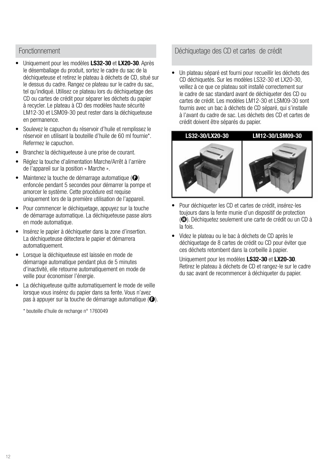#### Fonctionnement

- Uniquement pour les modèles LS32-30 et LX20-30. Après le désemballage du produit, sortez le cadre du sac de la déchiqueteuse et retirez le plateau à déchets de CD, situé sur le dessus du cadre. Rangez ce plateau sur le cadre du sac, tel qu'indiqué. Utilisez ce plateau lors du déchiquetage des CD ou cartes de crédit pour séparer les déchets du papier à recycler. Le plateau à CD des modèles haute sécurité LM12-30 et LSM09-30 peut rester dans la déchiqueteuse en permanence.
- Soulevez le capuchon du réservoir d'huile et remplissez le réservoir en utilisant la bouteille d'huile de 60 ml fournie\*. Refermez le capuchon.
- Branchez la déchiqueteuse à une prise de courant.
- Réglez la touche d'alimentation Marche/Arrêt à l'arrière de l'appareil sur la position « Marche ».
- Maintenez la touche de démarrage automatique  $\left( \bigoplus \right)$ enfoncée pendant 5 secondes pour démarrer la pompe et amorcer le système. Cette procédure est requise uniquement lors de la première utilisation de l'appareil.
- Pour commencer le déchiquetage, appuyez sur la touche de démarrage automatique. La déchiqueteuse passe alors en mode automatique.
- Insérez le papier à déchiqueter dans la zone d'insertion. La déchiqueteuse détectera le papier et démarrera automatiquement.
- Lorsque la déchiqueteuse est laissée en mode de démarrage automatique pendant plus de 5 minutes d'inactivité, elle retourne automatiquement en mode de veille pour économiser l'énergie.
- La déchiqueteuse quitte automatiquement le mode de veille lorsque vous insérez du papier dans sa fente. Vous n'avez pas à appuyer sur la touche de démarrage automatique  $(\bigodot)$ .

\* bouteille d'huile de rechange n° 1760049

### Déchiquetage des CD et cartes de crédit

• Un plateau séparé est fourni pour recueillir les déchets des CD déchiquetés. Sur les modèles LS32-30 et LX20-30, veillez à ce que ce plateau soit installé correctement sur le cadre de sac standard avant de déchiqueter des CD ou cartes de crédit. Les modèles LM12-30 et LSM09-30 sont fournis avec un bac à déchets de CD séparé, qui s'installe à l'avant du cadre de sac. Les déchets des CD et cartes de crédit doivent être séparés du papier.



- Pour déchiqueter les CD et cartes de crédit, insérez-les toujours dans la fente munie d'un dispositif de protection ( $\bigoplus$ ). Déchiquetez seulement une carte de crédit ou un CD à la fois.
- Videz le plateau ou le bac à déchets de CD après le déchiquetage de 8 cartes de crédit ou CD pour éviter que ces déchets retombent dans la corbeille à papier.

Uniquement pour les modèles LS32-30 et LX20-30. Retirez le plateau à déchets de CD et rangez-le sur le cadre du sac avant de recommencer à déchiqueter du papier.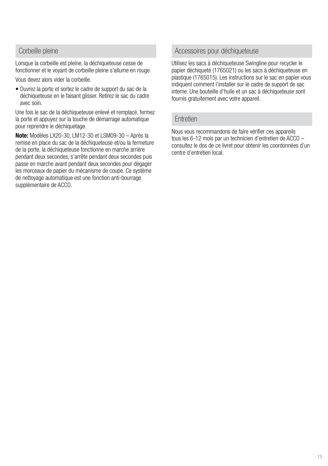#### Corbeille pleine

Lorsque la corbeille est pleine, la déchiqueteuse cesse de fonctionner et le voyant de corbeille pleine s'allume en rouge.

Vous devez alors vider la corbeille.

• Ouvrez la porte et sortez le cadre de support du sac de la déchiqueteuse en le faisant glisser. Retirez le sac du cadre avec soin.

Une fois le sac de la déchiqueteuse enlevé et remplacé, fermez la porte et appuyez sur la touche de démarrage automatique pour reprendre le déchiquetage.

Note: Modèles LX20-30, LM12-30 et LSM09-30 – Après la remise en place du sac de la déchiqueteuse et/ou la fermeture de la porte, la déchiqueteuse fonctionne en marche arrière pendant deux secondes, s'arrête pendant deux secondes puis passe en marche avant pendant deux secondes pour dégager les morceaux de papier du mécanisme de coupe. Ce système de nettoyage automatique est une fonction anti-bourrage supplémentaire de ACCO.

#### Accessoires pour déchiqueteuse

Utilisez les sacs à déchiqueteuse Swingline pour recycler le papier déchiqueté (1765021) ou les sacs à déchiqueteuse en plastique (1765015). Les instructions sur le sac en papier vous indiquent comment l'installer sur le cadre de support de sac interne. Une bouteille d'huile et un sac à déchiqueteuse sont fournis gratuitement avec votre appareil.

#### **Entretien**

Nous vous recommandons de faire vérifier ces appareils tous les 6-12 mois par un technicien d'entretien de ACCO – consultez le dos de ce livret pour obtenir les coordonnées d'un centre d'entretien local.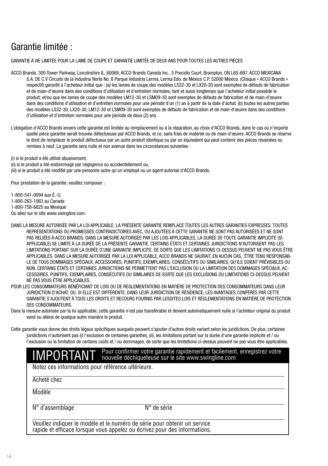# Garantie limitée :

#### GARANTIE À VIE LIMITÉE POUR LA LAME DE COUPE ET GARANTIE LIMITÉE DE DEUX ANS POUR TOUTES LES AUTRES PIÈCES

ACCO Brands, 300 Tower Parkway, Lincolnshire IL, 60069, ACCO Brands Canada Inc., 5 Precidio Court, Brampton, ON L6S-6B7, ACCO MEXICANA S.A. DE C.V Circuito de la Industria Norte No. 6 Parque Industria Lerma, Lerma Edo. de México C.P. 52000 México. (Chaque « ACCO Brands » respectif) garantit à l'acheteur initial que : (a) les lames de coupe des modèles LS32-30 et LX20-30 sont exemptes de défauts de fabrication et de main-d'œuvre dans des conditions d'utilisation et d'entretien normales, tant et aussi longtemps que l'acheteur initial possède le produit; et/ou que les lames de coupe des modèles LM12-30 et LSM09-30 sont exemptes de défauts de fabrication et de main-d'œuvre dans des conditions d'utilisation et d'entretien normales pour une période d'un (1) an à partir de la date d'achat. (b) toutes les autres parties des modèles LS32-30, LX20-30, LM12-30 et LSM09-30 sont exemptes de défauts de fabrication et de main-d'œuvre dans des conditions d'utilisation et d'entretien normales pour une période de deux (2) ans.

L'obligation d'ACCO Brands envers cette garantie est limitée au remplacement ou à la réparation, au choix d'ACCO Brands, dans le cas où n'importe quelle pièce garantie serait trouvée défectueuse par ACCO Brands, et ce, sans frais de matériel ou de main-d'œuvre. ACCO Brands se réserve le droit de remplacer le produit défectueux par un autre produit identique ou par un équivalent qui peut contenir des pièces réusinées ou remises à neuf. La garantie sera nulle et non avenue dans les circonstances suivantes :

(i) si le produit a été utilisé abusivement,

(ii) si le produit a été endommagé par négligence ou accidentellement ou, (iii) si le produit a été modifié par une personne autre qu'un employé ou un agent autorisé d'ACCO Brands.

Pour prestation de la garantie, veuillez composer :

1-800-541-0094 aux É.-U.

1-800-263-1063 au Canada

1-800-758-6825 au Mexique

Ou allez sur le site www.swingline.com.

DANS LA MESURE AUTORISÉE PAR LA LOI APPLICABLE, LA PRÉSENTE GARANTIE REMPLACE TOUTES LES AUTRES GARANTIES EXPRESSES. TOUTES REPRÉSENTATIONS OU PROMESSES CONTRADICTOIRES AVEC, OU AJOUTÉES À CETTE GARANTIE NE SONT PAS AUTORISÉES ET NE SONT PAS RELIÉES À ACCO BRANDS. DANS LA MESURE AUTORISÉE PAR LES LOIS APPLICABLES, LA DURÉE DE TOUTE GARANTIE IMPLICITE (SI APPLICABLE) SE LIMITE À LA DURÉE DE LA PRÉSENTE GARANTIE. CERTAINS ÉTATS ET CERTAINES JURIDICTIONS N'AUTORISENT PAS LES LIMITATIONS PORTANT SUR LA DURÉE D'UNE GARANTIE IMPLICITE, DE SORTE QUE LES LIMITATIONS CI-DESSUS PEUVENT NE PAS VOUS ÊTRE APPLICABLES. DANS LA MESURE AUTORISÉE PAR LA LOI APPLICABLE, ACCO BRANDS NE SAURAIT, EN AUCUN CAS, ÊTRE TENU RESPONSAB-LE DE TOUS DOMMAGES SPÉCIAUX, ACCESSOIRES, PUNITIFS, EXEMPLAIRES, CONSÉCUTIFS OU SIMILAIRES, QU'ILS SOIENT PRÉVISIBLES OU NON. CERTAINS ÉTATS ET CERTAINES JURIDICTIONS NE PERMETTENT PAS L'EXCLUSION OU LA LIMITATION DES DOMMAGES SPÉCIAUX, AC-CESSOIRES, PUNITIFS, EXEMPLAIRES, CONSÉCUTIFS OU SIMILAIRES DE SORTE QUE LES EXCLUSIONS OU LIMITATIONS CI-DESSUS PEUVENT NE PAS VOUS ÊTRE APPLICABLES.

POUR LES CONSOMMATEURS BÉNÉFICIANT DE LOIS OU DE RÉGLEMENTATIONS EN MATIÈRE DE PROTECTION DES CONSOMMATEURS DANS LEUR JURIDICTION D'ACHAT, OU, SI ELLE EST DIFFÉRENTE, DANS LEUR JURIDICTION DE RÉSIDENCE, LES AVANTAGES CONFÉRÉS PAR CETTE GARANTIE S'AJOUTENT À TOUS LES DROITS ET RECOURS FOURNIS PAR LESDITES LOIS ET RÉGLEMENTATIONS EN MATIÈRE DE PROTECTION DES CONSOMMATEURS.

Dans la mesure autorisée par la loi applicable, cette garantie n'est pas transférable et devient automatiquement nulle si l'acheteur original du produit vend ou aliène de quelque autre manière le produit.

Cette garantie vous donne des droits légaux spécifiques auxquels peuvent s'ajouter d'autres droits variant selon les juridictions. De plus, certaines juridictions n'autorisent pas (i) l'exclusion de certaines garanties, (ii), les limitations portant sur la durée d'une garantie implicite et / ou l'exclusion ou la limitation de certains coûts et / ou dommages, de sorte que les limitations ci-dessus peuvent ne pas vous être applicables.

#### IMPORTANT Pour confirmer votre garantie rapidement et facilement, enregistrez votre<br>IMPORTANT nouvelle déchiqueteuse sur le site www.swingline.com nouvelle déchiqueteuse sur le site www.swingline.com

Notez ces informations pour référence ultérieure.

Acheté chez

Modèle

N° d'assemblage N° de série

Veuillez indiquer le modèle et le numéro de série pour obtenir un service rapide et efficace lorsque vous appelez ou écrivez pour des informations.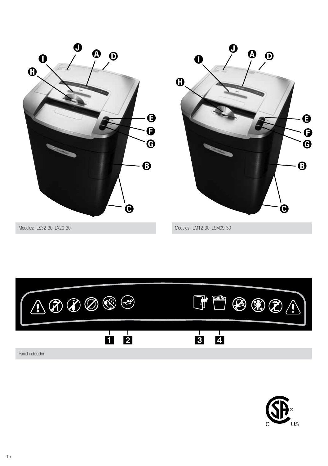



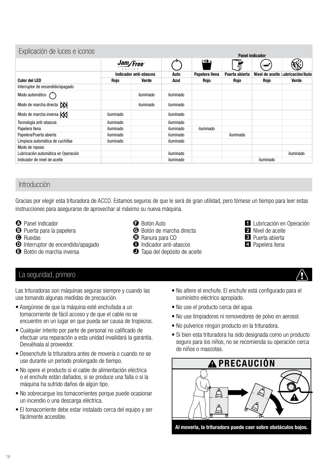| Explicación de luces e iconos        |                               |           |           |                |                | <b>Panel indicador</b> |                                  |
|--------------------------------------|-------------------------------|-----------|-----------|----------------|----------------|------------------------|----------------------------------|
|                                      | Jam/Free                      |           |           | <u>\ অং ১</u>  | ┪              |                        |                                  |
|                                      | <b>Indicador anti-atascos</b> |           | Auto      | Papelera Ilena | Puerta abierta |                        | Nivel de aceite Lubricación/Auto |
| <b>Color del LED</b>                 | Rojo                          | Verde     | Azul      | <b>Rojo</b>    | Rojo           | Rojo                   | Verde                            |
| Interruptor de encendido/apagado     |                               |           |           |                |                |                        |                                  |
| Modo automático                      |                               | iluminado | iluminado |                |                |                        |                                  |
| Modo de marcha directa $\mathcal{D}$ |                               | iluminado | iluminado |                |                |                        |                                  |
| Modo de marcha inversa K             | iluminado                     |           | iluminado |                |                |                        |                                  |
| Tecnología anti-atascos              | iluminado                     |           | iluminado |                |                |                        |                                  |
| Papelera Ilena                       | iluminado                     |           | iluminado | iluminado      |                |                        |                                  |
| Papelera/Puerta abierta              | iluminado                     |           | iluminado |                | iluminado      |                        |                                  |
| Limpieza automática de cuchillas     | iluminado                     |           | iluminado |                |                |                        |                                  |
| Modo de reposo                       |                               |           |           |                |                |                        |                                  |
| Lubricación automática en Operación  |                               |           | iluminado |                |                |                        | iluminado                        |
| Indicador de nivel de aceite         |                               |           | iluminado |                |                | iluminado              |                                  |

# Introducción

Gracias por elegir esta trituradora de ACCO. Estamos seguros de que le será de gran utilidad, pero tómese un tiempo para leer estas instrucciones para asegurarse de aprovechar al máximo su nueva máquina.

- **A** Panel indicador
- **B** Puerta para la papelera
- **O** Ruedas
- D Interruptor de encendido/apagado
- **B** Botón de marcha inversa
- **B** Botón Auto
- G Botón de marcha directa
- $\bullet$  Ranura para CD
- **O** Indicador anti-atascos
- $\bullet$  Tapa del depósito de aceite
- **1** Lubricación en Operación
	- 2 Nivel de aceite
	- 3 Puerta abierta
	- 4 Papelera llena

## La seguridad, primero

Las trituradoras son máquinas seguras siempre y cuando las use tomando algunas medidas de precaución.

- Asegúrese de que la máquina esté enchufada a un tomacorriente de fácil acceso y de que el cable no se encuentre en un lugar en que pueda ser causa de tropiezos.
- Cualquier intento por parte de personal no calificado de efectuar una reparación a esta unidad invalidará la garantía. Devuélvala al proveedor.
- Desenchufe la trituradora antes de moverla o cuando no se use durante un período prolongado de tiempo.
- No opere el producto si el cable de alimentación eléctrica o el enchufe están dañados, si se produce una falla o si la máquina ha sufrido daños de algún tipo.
- No sobrecargue los tomacorrientes porque puede ocasionar un incendio o una descarga eléctrica.
- El tomacorriente debe estar instalado cerca del equipo y ser fácilmente accesible.
- No altere el enchufe. El enchufe está configurado para el suministro eléctrico apropiado.
- No use el producto cerca del agua.
- No use limpiadores ni removedores de polvo en aerosol.
- No pulverice ningún producto en la trituradora.
- Si bien esta trituradora ha sido designada como un producto seguro para los niños, no se recomienda su operación cerca de niños o mascotas.



16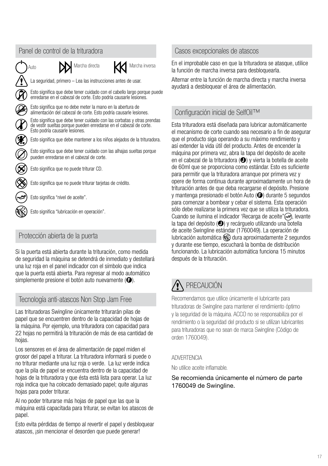

# Protección abierta de la puerta

Si la puerta está abierta durante la trituración, como medida de seguridad la máquina se detendrá de inmediato y destellará una luz roja en el panel indicador con el símbolo que indica que la puerta está abierta. Para regresar al modo automático simplemente presione el botón auto nuevamente  $(\bigodot)$ .

# Tecnología anti-atascos Non Stop Jam Free

Las trituradoras Swingline únicamente triturarán pilas de papel que se encuentren dentro de la capacidad de hojas de la máquina. Por ejemplo, una trituradora con capacidad para 22 hojas no permitirá la trituración de más de esa cantidad de hojas.

Los sensores en el área de alimentación de papel miden el grosor del papel a triturar. La trituradora informará si puede o no triturar mediante una luz roja o verde. La luz verde indica que la pila de papel se encuentra dentro de la capacidad de hojas de la trituradora y que ésta está lista para operar. La luz roja indica que ha colocado demasiado papel; quite algunas hojas para poder triturar.

Al no poder triturarse más hojas de papel que las que la máquina está capacitada para triturar, se evitan los atascos de papel.

Esto evita pérdidas de tiempo al revertir el papel y desbloquear atascos, ¡sin mencionar el desorden que puede generar!

## Casos excepcionales de atascos

En el improbable caso en que la trituradora se atasque, utilice la función de marcha inversa para desbloquearla.

Alternar entre la función de marcha directa y marcha inversa ayudará a desbloquear el área de alimentación.

# Configuración inicial de SelfOil™

Esta trituradora está diseñada para lubricar automáticamente el mecanismo de corte cuando sea necesario a fin de asegurar que el producto siga operando a su máximo rendimiento y así extender la vida útil del producto. Antes de encender la máquina por primera vez, abra la tapa del depósito de aceite en el cabezal de la trituradora  $\odot$ ) y vierta la botella de aceite de 60ml que se proporciona como estándar. Esto es suficiente para permitir que la trituradora arranque por primera vez y opere de forma continua durante aproximadamente un hora de trituración antes de que deba recargarse el depósito. Presione y mantenga presionado el botón Auto  $\Theta$ ) durante 5 segundos para comenzar a bombear y cebar el sistema. Esta operación sólo debe realizarse la primera vez que se utiliza la trituradora. Cuando se ilumina el indicador 'Recarga de aceite" (e), levante la tapa del depósito  $\Theta$ ) y recárguelo utilizando una botella de aceite Swingline estándar (1760049). La operación de lubricación automática  $\mathbb{Q}$  dura aproximadamente 2 segundos y durante ese tiempo, escuchará la bomba de distribución funcionando. La lubricación automática funciona 15 minutos después de la trituración.

# PRECAUCIÓN

Recomendamos que utilice únicamente el lubricante para trituradoras de Swingline para mantener el rendimiento óptimo y la seguridad de la máquina. ACCO no se responsabiliza por el rendimiento o la seguridad del producto si se utilizan lubricantes para trituradoras que no sean de marca Swingline (Código de orden 1760049).

#### ADVERTENCIA

No utilice aceite inflamable.

#### Se recomienda únicamente el número de parte 1760049 de Swingline.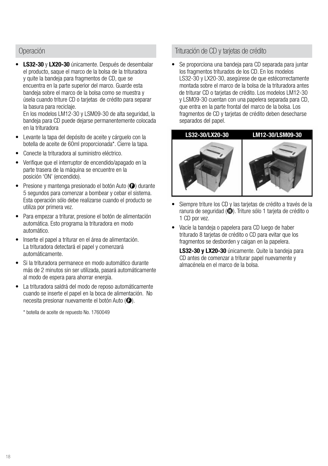#### Operación

LS32-30 y LX20-30 únicamente. Después de desembalar el producto, saque el marco de la bolsa de la trituradora y quite la bandeja para fragmentos de CD, que se encuentra en la parte superior del marco. Guarde esta bandeja sobre el marco de la bolsa como se muestra y úsela cuando triture CD o tarjetas de crédito para separar la basura para reciclaje.

En los modelos LM12-30 y LSM09-30 de alta seguridad, la bandeja para CD puede dejarse permanentemente colocada en la trituradora

- Levante la tapa del depósito de aceite y cárguelo con la botella de aceite de 60ml proporcionada\*. Cierre la tapa.
- Conecte la trituradora al suministro eléctrico.
- Verifique que el interruptor de encendido/apagado en la parte trasera de la máquina se encuentre en la posición 'ON' (encendido).
- Presione y mantenga presionado el botón Auto  $\Theta$  durante 5 segundos para comenzar a bombear y cebar el sistema. Esta operación sólo debe realizarse cuando el producto se utiliza por primera vez.
- Para empezar a triturar, presione el botón de alimentación automática. Esto programa la trituradora en modo automático.
- Inserte el papel a triturar en el área de alimentación. La trituradora detectará el papel y comenzará automáticamente.
- Si la trituradora permanece en modo automático durante más de 2 minutos sin ser utilizada, pasará automáticamente al modo de espera para ahorrar energía.
- La trituradora saldrá del modo de reposo automáticamente cuando se inserte el papel en la boca de alimentación. No necesita presionar nuevamente el botón Auto  $\left( \bigodot \right)$ .
	- \* botella de aceite de repuesto No. 1760049

#### Trituración de CD y tarjetas de crédito

• Se proporciona una bandeja para CD separada para juntar los fragmentos triturados de los CD. En los modelos LS32-30 y LX20-30, asegúrese de que estécorrectamente montada sobre el marco de la bolsa de la trituradora antes de triturar CD o tarjetas de crédito. Los modelos LM12-30 y LSM09-30 cuentan con una papelera separada para CD, que entra en la parte frontal del marco de la bolsa. Los fragmentos de CD y tarjetas de crédito deben desecharse separados del papel.



- Siempre triture los CD y las tarjetas de crédito a través de la ranura de seguridad  $\left(\bigcirc$ ). Triture sólo 1 tarieta de crédito o 1 CD por vez.
- Vacíe la bandeja o papelera para CD luego de haber triturado 8 tarjetas de crédito o CD para evitar que los fragmentos se desborden y caigan en la papelera.

LS32-30 y LX20-30 únicamente. Quite la bandeja para CD antes de comenzar a triturar papel nuevamente y almacénela en el marco de la bolsa.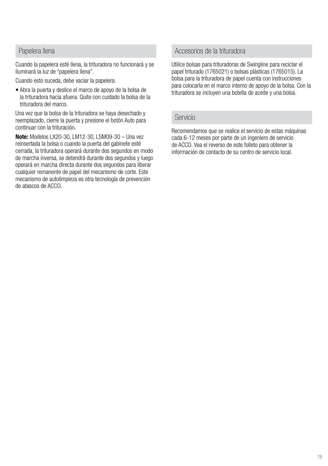#### Papelera llena

Cuando la papelera esté llena, la trituradora no funcionará y se iluminará la luz de "papelera llena".

Cuando esto suceda, debe vaciar la papelera.

• Abra la puerta y deslice el marco de apoyo de la bolsa de la trituradora hacia afuera. Quite con cuidado la bolsa de la trituradora del marco.

Una vez que la bolsa de la trituradora se haya desechado y reemplazado, cierre la puerta y presione el botón Auto para continuar con la trituración.

Note: Modelos LX20-30, LM12-30, LSM09-30 – Una vez reinsertada la bolsa o cuando la puerta del gabinete esté cerrada, la trituradora operará durante dos segundos en modo de marcha inversa, se detendrá durante dos segundos y luego operará en marcha directa durante dos segundos para liberar cualquier remanente de papel del mecanismo de corte. Este mecanismo de autolimpieza es otra tecnología de prevención de atascos de ACCO.

#### Accesorios de la trituradora

Utilice bolsas para trituradoras de Swingline para reciclar el papel triturado (1765021) o bolsas plásticas (1765015). La bolsa para la trituradora de papel cuenta con instrucciones para colocarla en el marco interno de apoyo de la bolsa. Con la trituradora se incluyen una botella de aceite y una bolsa.

#### Servicio

Recomendamos que se realice el servicio de estas máquinas cada 6-12 meses por parte de un ingeniero de servicio de ACCO. Vea el reverso de este folleto para obtener la información de contacto de su centro de servicio local.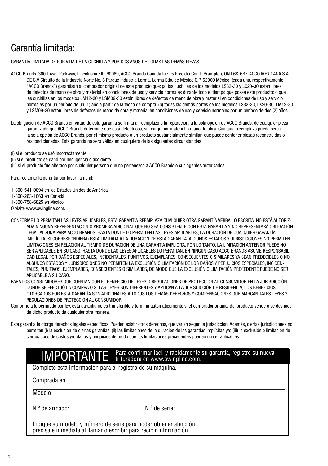# Garantía limitada:

GARANTÍA LIMITADA DE POR VIDA DE LA CUCHILLA Y POR DOS AÑOS DE TODAS LAS DEMÁS PIEZAS

ACCO Brands, 300 Tower Parkway, Lincolnshire IL, 60069, ACCO Brands Canada Inc., 5 Precidio Court, Brampton, ON L6S-6B7, ACCO MEXICANA S.A. DE C.V Circuito de la Industria Norte No. 6 Parque Industria Lerma, Lerma Edo. de México C.P. 52000 México. (cada una, respectivamente, "ACCO Brands") garantizan al comprador original de este producto que: (a) las cuchillas de los modelos LS32-30 y LX20-30 están libres de defectos de mano de obra y material en condiciones de uso y servicio normales durante todo el tiempo que posea este producto; o que las cuchillas en los modelos LM12-30 y LSM09-30 están libres de defectos de mano de obra y material en condiciones de uso y servicio normales por un período de un (1) año a partir de la fecha de compra. (b) todas las demás partes de los modelos LS32-30, LX20-30, LM12-30 y LSM09-30 están libres de defectos de mano de obra y material en condiciones de uso y servicio normales por un período de dos (2) años.

La obligación de ACCO Brands en virtud de esta garantía se limita al reemplazo o la reparación, a la sola opción de ACCO Brands, de cualquier pieza garantizada que ACCO Brands determine que está defectuosa, sin cargo por material o mano de obra. Cualquier reemplazo puede ser, a la sola opción de ACCO Brands, por el mismo producto o un producto sustancialmente similar que puede contener piezas reconstruidas o reacondicionadas. Esta garantía no será válida en cualquiera de las siguientes circunstancias:

(i) si el producto se usó incorrectamente

(ii) si el producto se dañó por negligencia o accidente

(iii) si el producto fue alterado por cualquier persona que no pertenezca a ACCO Brands o sus agentes autorizados.

Para reclamar la garantía por favor llame al:

1-800-541-0094 en los Estados Unidos de América

1-800-263-1063 en Canadá

1-800-758-6825 en México

O visite www.swingline.com.

CONFORME LO PERMITAN LAS LEYES APLICABLES, ESTA GARANTÍA REEMPLAZA CUALQUIER OTRA GARANTÍA VERBAL O ESCRITA. NO ESTÁ AUTORIZ-ADA NINGUNA REPRESENTACIÓN O PROMESA ADICIONAL QUE NO SEA CONSISTENTE CON ESTA GARANTÍA Y NO REPRESENTARÁ OBLIGACIÓN LEGAL ALGUNA PARA ACCO BRANDS. HASTA DONDE LO PERMITEN LAS LEYES APLICABLES, LA DURACIÓN DE CUALQUIER GARANTÍA IMPLÍCITA (SI CORRESPONDIERA) ESTÁ LIMITADA A LA DURACIÓN DE ESTA GARANTÍA. ALGUNOS ESTADOS Y JURISDICCIONES NO PERMITEN LIMITACIONES EN RELACIÓN AL TIEMPO DE DURACIÓN DE UNA GARANTÍA IMPLÍCITA, POR LO TANTO, LA LIMITACIÓN ANTERIOR PUEDE NO SER APLICABLE EN SU CASO. HASTA DONDE LAS LEYES APLICABLES LO PERMITAN, EN NINGÚN CASO ACCO BRANDS ASUME RESPONSABILI-DAD LEGAL POR DAÑOS ESPECIALES, INCIDENTALES, PUNITIVOS, EJEMPLARES, CONSECUENTES O SIMILARES YA SEAN PREDECIBLES O NO. ALGUNOS ESTADOS Y JURISDICCIONES NO PERMITEN LA EXCLUSIÓN O LIMITACIÓN DE LOS DAÑOS Y PERJUICIOS ESPECIALES, INCIDEN-TALES, PUNITIVOS, EJEMPLARES, CONSECUENTES O SIMILARES, DE MODO QUE LA EXCLUSIÓN O LIMITACIÓN PRECEDENTE PUEDE NO SER APLICABLE A SU CASO.

PARA LOS CONSUMIDORES QUE CUENTAN CON EL BENEFICIO DE LEYES O REGULACIONES DE PROTECCIÓN AL CONSUMIDOR EN LA JURISDICCIÓN DONDE SE EFECTUÓ LA COMPRA O SI LAS LEYES SON DIFERENTES Y APLICAN A LA JURISDICCIÓN DE RESIDENCIA, LOS BENEFICIOS OTORGADOS POR ESTA GARANTÍA SON ADICIONALES A TODOS LOS DEMÁS DERECHOS Y COMPENSACIONES QUE MARCAN TALES LEYES Y REGULACIONES DE PROTECCIÓN AL CONSUMIDOR.

Conforme a lo permitido por ley, esta garantía no es transferible y termina automáticamente si el comprador original del producto vende o se deshace de dicho producto de cualquier otra manera.

Esta garantía le otorga derechos legales específicos. Pueden existir otros derechos, que varían según la jurisdicción. Además, ciertas jurisdicciones no permiten (i) la exclusión de ciertas garantías, (ii) las limitaciones de la duración de las garantías implícitas y/o (iii) la exclusión o limitación de ciertos tipos de costos y/o daños y perjuicios de modo que las limitaciones precedentes pueden no ser aplicables.

# IMPORTANTE Para confirmar fácil y rápidamente su garantía, registre su nueva<br>IMPORTANTE trituradora en www.swingline.com.

Complete esta información para el registro de su máquina.

Comprada en

Modelo

N.º de armado: N.º de serie:

Indique su modelo y número de serie para poder obtener atención precisa e inmediata al llamar o escribir para recibir información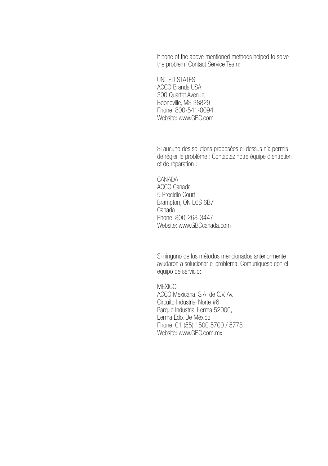If none of the above mentioned methods helped to solve the problem: Contact Service Team:

UNITED STATES ACCO Brands USA 300 Quartet Avenue, Booneville, MS 38829 Phone: 800-541-0094 Website: www.GBC.com

Si aucune des solutions proposées ci-dessus n'a permis de régler le problème : Contactez notre équipe d'entretien et de réparation :

CANADA ACCO Canada 5 Precidio Court Brampton, ON L6S 6B7 Canada Phone: 800-268-3447 Website: www.GBCcanada.com

Si ninguno de los métodos mencionados anteriormente ayudaron a solucionar el problema: Comuníquese con el equipo de servicio:

**MEXICO** ACCO Mexicana, S.A. de C.V. Av. Circuito Industrial Norte #6 Parque Industrial Lerma 52000, Lerma Edo. De México Phone: 01 (55) 1500 5700 / 5778 Website: www.GBC.com.mx